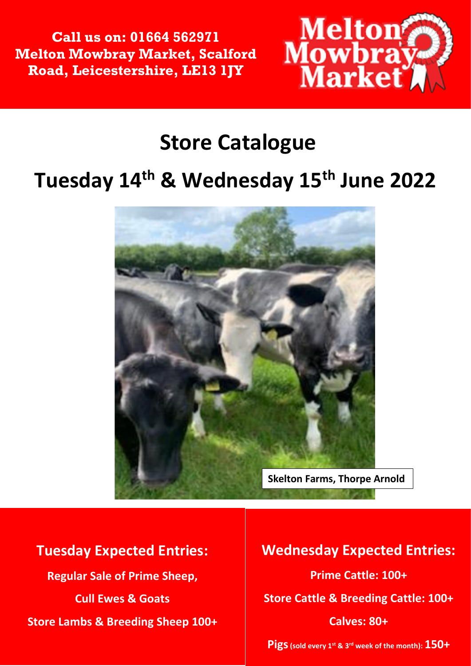**Call us on: 01664 562971 Melton Mowbray Market, Scalford Road, Leicestershire, LE13 1JY**



## **Store Catalogue**

## **Tuesday 14th & Wednesday 15th June 2022**



**Tuesday Expected Entries: Regular Sale of Prime Sheep, Cull Ewes & Goats Store Lambs & Breeding Sheep 100+**

#### *Association and all Livestock is Sold*  **Wednesday Expected Entries: Tuesday 14th June Prime Cattle: 100+ Store Cattle & Breeding Cattle: 100+ Commencing at 10am followed by Cull Calves: 80+ Ewes**

**Pigs(sold every 1st & 3rd week of the month): 150+**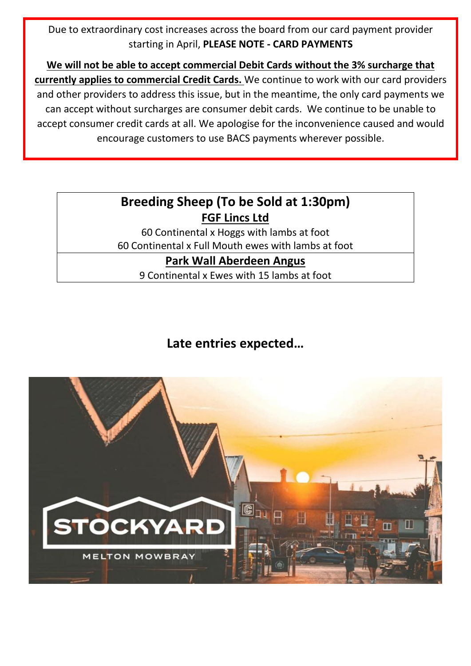Due to extraordinary cost increases across the board from our card payment provider starting in April, **PLEASE NOTE - CARD PAYMENTS**

**We will not be able to accept commercial Debit Cards without the 3% surcharge that currently applies to commercial Credit Cards.** We continue to work with our card providers and other providers to address this issue, but in the meantime, the only card payments we can accept without surcharges are consumer debit cards. We continue to be unable to accept consumer credit cards at all. We apologise for the inconvenience caused and would encourage customers to use BACS payments wherever possible.

#### **Breeding Sheep (To be Sold at 1:30pm) FGF Lincs Ltd**

60 Continental x Hoggs with lambs at foot 60 Continental x Full Mouth ewes with lambs at foot

#### **Park Wall Aberdeen Angus**

9 Continental x Ewes with 15 lambs at foot

#### **Late entries expected…**

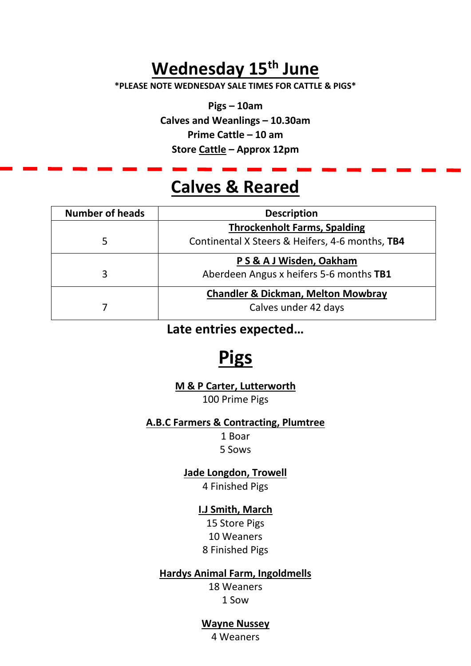## **Wednesday 15th June**

**\*PLEASE NOTE WEDNESDAY SALE TIMES FOR CATTLE & PIGS\***

**Pigs – 10am Calves and Weanlings – 10.30am Prime Cattle – 10 am Store Cattle – Approx 12pm**

### **Calves & Reared**

| <b>Number of heads</b> | <b>Description</b>                              |  |
|------------------------|-------------------------------------------------|--|
|                        | <b>Throckenholt Farms, Spalding</b>             |  |
| 5                      | Continental X Steers & Heifers, 4-6 months, TB4 |  |
|                        | P S & A J Wisden, Oakham                        |  |
| 3                      | Aberdeen Angus x heifers 5-6 months TB1         |  |
|                        | <b>Chandler &amp; Dickman, Melton Mowbray</b>   |  |
|                        | Calves under 42 days                            |  |

**Late entries expected…**

## **Pigs**

**M & P Carter, Lutterworth** 100 Prime Pigs

#### **A.B.C Farmers & Contracting, Plumtree**

1 Boar 5 Sows

**Jade Longdon, Trowell** 

4 Finished Pigs

#### **I.J Smith, March**

15 Store Pigs 10 Weaners 8 Finished Pigs

#### **Hardys Animal Farm, Ingoldmells**

18 Weaners 1 Sow

#### **Wayne Nussey**

4 Weaners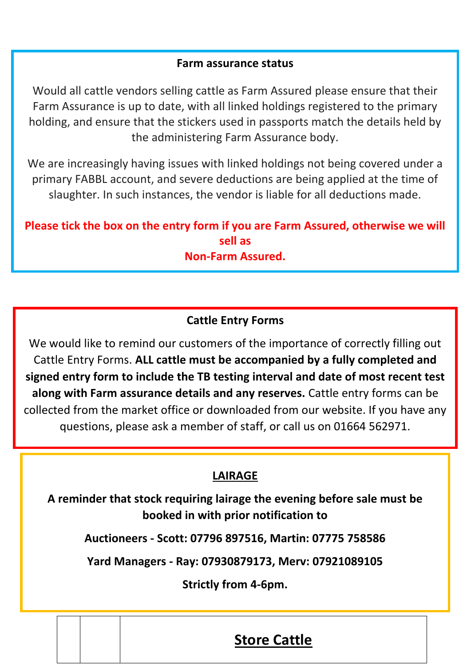#### **Farm assurance status**

Would all cattle vendors selling cattle as Farm Assured please ensure that their Farm Assurance is up to date, with all linked holdings registered to the primary holding, and ensure that the stickers used in passports match the details held by the administering Farm Assurance body.

We are increasingly having issues with linked holdings not being covered under a primary FABBL account, and severe deductions are being applied at the time of slaughter. In such instances, the vendor is liable for all deductions made.

**Please tick the box on the entry form if you are Farm Assured, otherwise we will sell as Non-Farm Assured.** 

#### **Cattle Entry Forms**

We would like to remind our customers of the importance of correctly filling out Cattle Entry Forms. **ALL cattle must be accompanied by a fully completed and signed entry form to include the TB testing interval and date of most recent test along with Farm assurance details and any reserves.** Cattle entry forms can be collected from the market office or downloaded from our website. If you have any questions, please ask a member of staff, or call us on 01664 562971.

#### **LAIRAGE**

**A reminder that stock requiring lairage the evening before sale must be booked in with prior notification to**

**Auctioneers - Scott: 07796 897516, Martin: 07775 758586**

**Yard Managers - Ray: 07930879173, Merv: 07921089105**

**Strictly from 4-6pm.** 

**.**

#### **Store Cattle**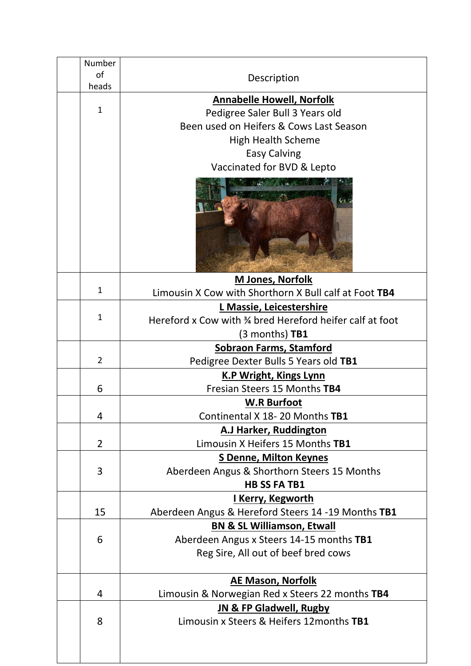|  | Number                                                                              |                                                          |  |
|--|-------------------------------------------------------------------------------------|----------------------------------------------------------|--|
|  | of                                                                                  | Description                                              |  |
|  | heads                                                                               |                                                          |  |
|  |                                                                                     | <b>Annabelle Howell, Norfolk</b>                         |  |
|  | $\mathbf{1}$                                                                        | Pedigree Saler Bull 3 Years old                          |  |
|  |                                                                                     | Been used on Heifers & Cows Last Season                  |  |
|  |                                                                                     | <b>High Health Scheme</b>                                |  |
|  |                                                                                     | <b>Easy Calving</b>                                      |  |
|  | Vaccinated for BVD & Lepto                                                          |                                                          |  |
|  |                                                                                     |                                                          |  |
|  | <b>M Jones, Norfolk</b>                                                             |                                                          |  |
|  | $\mathbf{1}$                                                                        | Limousin X Cow with Shorthorn X Bull calf at Foot TB4    |  |
|  |                                                                                     | L Massie, Leicestershire                                 |  |
|  | $\mathbf{1}$                                                                        | Hereford x Cow with 34 bred Hereford heifer calf at foot |  |
|  |                                                                                     | $(3$ months) <b>TB1</b>                                  |  |
|  | <b>Sobraon Farms, Stamford</b>                                                      |                                                          |  |
|  | $\overline{2}$                                                                      | Pedigree Dexter Bulls 5 Years old TB1                    |  |
|  | <b>K.P Wright, Kings Lynn</b>                                                       |                                                          |  |
|  | 6                                                                                   | Fresian Steers 15 Months TB4                             |  |
|  |                                                                                     | <b>W.R Burfoot</b>                                       |  |
|  | 4                                                                                   | Continental X 18-20 Months TB1                           |  |
|  | <b>A.J Harker, Ruddington</b><br>Limousin X Heifers 15 Months TB1<br>$\overline{2}$ |                                                          |  |
|  |                                                                                     |                                                          |  |
|  |                                                                                     | <b>S Denne, Milton Keynes</b>                            |  |
|  | 3                                                                                   | Aberdeen Angus & Shorthorn Steers 15 Months              |  |
|  |                                                                                     | <b>HB SS FA TB1</b>                                      |  |
|  |                                                                                     | <u>I Kerry, Kegworth</u>                                 |  |
|  | 15                                                                                  | Aberdeen Angus & Hereford Steers 14 -19 Months TB1       |  |
|  |                                                                                     | <b>BN &amp; SL Williamson, Etwall</b>                    |  |
|  | 6                                                                                   | Aberdeen Angus x Steers 14-15 months TB1                 |  |
|  |                                                                                     | Reg Sire, All out of beef bred cows                      |  |
|  |                                                                                     |                                                          |  |
|  |                                                                                     | <b>AE Mason, Norfolk</b>                                 |  |
|  | 4                                                                                   | Limousin & Norwegian Red x Steers 22 months TB4          |  |
|  |                                                                                     | <b>JN &amp; FP Gladwell, Rugby</b>                       |  |
|  | 8                                                                                   | Limousin x Steers & Heifers 12months TB1                 |  |
|  |                                                                                     |                                                          |  |
|  |                                                                                     |                                                          |  |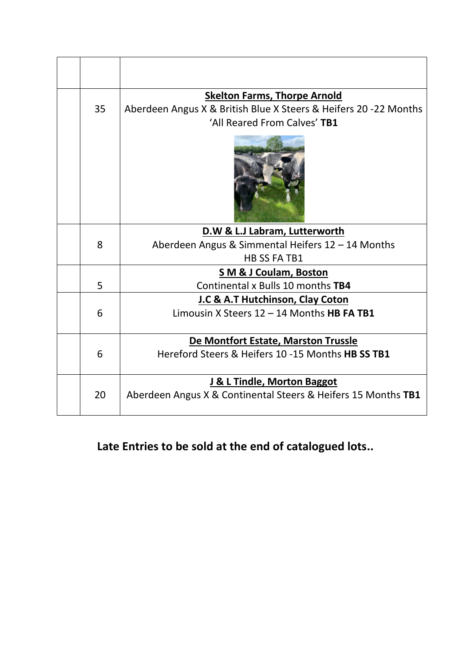|    |                               | <b>Skelton Farms, Thorpe Arnold</b>                              |  |
|----|-------------------------------|------------------------------------------------------------------|--|
| 35 |                               | Aberdeen Angus X & British Blue X Steers & Heifers 20 -22 Months |  |
|    |                               | 'All Reared From Calves' TB1                                     |  |
|    |                               |                                                                  |  |
|    | D.W & L.J Labram, Lutterworth |                                                                  |  |
|    | 8                             | Aberdeen Angus & Simmental Heifers 12 - 14 Months                |  |
|    |                               | <b>HB SS FA TB1</b>                                              |  |
|    |                               | <b>SM &amp; J Coulam, Boston</b>                                 |  |
|    | 5                             | Continental x Bulls 10 months TB4                                |  |
|    |                               | J.C & A.T Hutchinson, Clay Coton                                 |  |
|    | 6                             | Limousin X Steers $12 - 14$ Months HB FA TB1                     |  |
|    |                               | De Montfort Estate, Marston Trussle                              |  |
|    | 6                             | Hereford Steers & Heifers 10 -15 Months HB SS TB1                |  |
|    |                               | J & L Tindle, Morton Baggot                                      |  |
|    | 20                            | Aberdeen Angus X & Continental Steers & Heifers 15 Months TB1    |  |

**Late Entries to be sold at the end of catalogued lots..**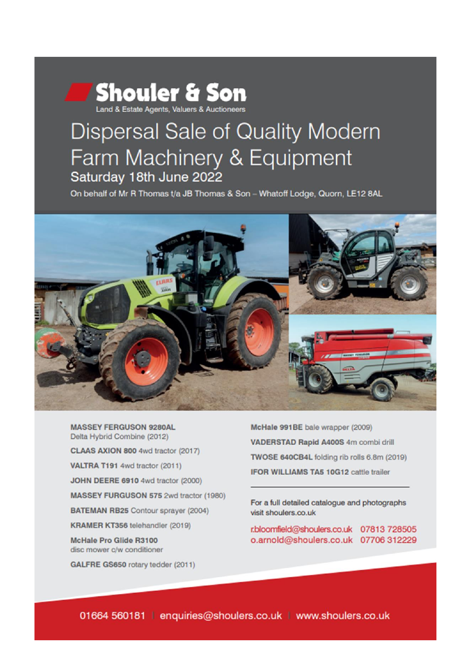## **Shouler & Son**

## Dispersal Sale of Quality Modern Farm Machinery & Equipment Saturday 18th June 2022

On behalf of Mr R Thomas t/a JB Thomas & Son - Whatoff Lodge, Quorn, LE12 8AL



**MASSEY FERGUSON 9280AL** Delta Hybrid Combine (2012)

CLAAS AXION 800 4wd tractor (2017)

VALTRA T191 4wd tractor (2011)

JOHN DEERE 6910 4wd tractor (2000)

MASSEY FURGUSON 575 2wd tractor (1980)

**BATEMAN RB25** Contour sprayer (2004)

KRAMER KT356 telehandler (2019)

**McHale Pro Glide R3100** disc mower c/w conditioner

GALFRE GS650 rotary tedder (2011)

McHale 991BE bale wrapper (2009) VADERSTAD Rapid A400S 4m combi drill TWOSE 640CB4L folding rib rolls 6.8m (2019) IFOR WILLIAMS TA5 10G12 cattle trailer

For a full detailed catalogue and photographs visit shoulers.co.uk

r.bloomfield@shoulers.co.uk 07813 728505 o.arnold@shoulers.co.uk 07706 312229